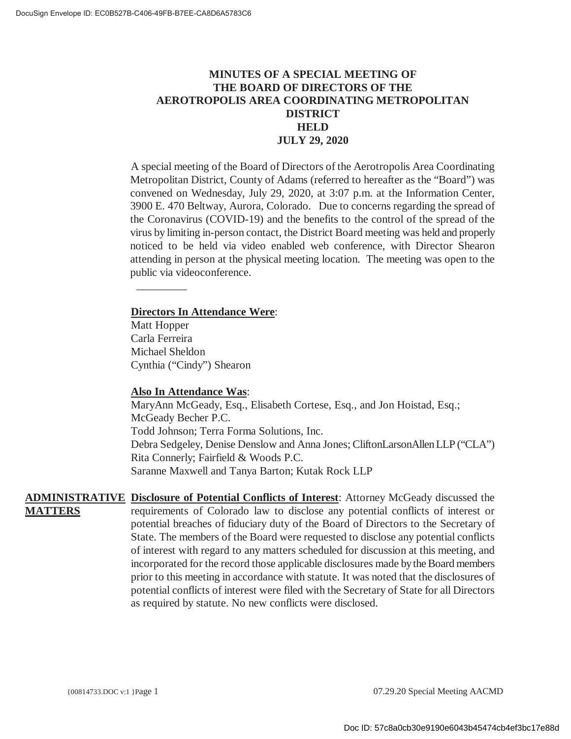## **MINUTES OF A SPECIAL MEETING OF THE BOARD OF DIRECTORS OF THE AEROTROPOLIS AREA COORDINATING METROPOLITAN DISTRICT HELD JULY 29, 2020**

A special meeting of the Board of Directors of the Aerotropolis Area Coordinating Metropolitan District, County of Adams (referred to hereafter as the "Board") was convened on Wednesday, July 29, 2020, at 3:07 p.m. at the Information Center, 3900 E. 470 Beltway, Aurora, Colorado. Due to concerns regarding the spread of the Coronavirus (COVID-19) and the benefits to the control of the spread of the virus by limiting in-person contact, the District Board meeting was held and properly noticed to be held via video enabled web conference, with Director Shearon attending in person at the physical meeting location. The meeting was open to the public via videoconference.

## **Directors In Attendance Were**:

Matt Hopper Carla Ferreira Michael Sheldon Cynthia ("Cindy") Shearon

\_\_\_\_\_\_\_\_\_\_

### **Also In Attendance Was**:

MaryAnn McGeady, Esq., Elisabeth Cortese, Esq., and Jon Hoistad, Esq.; McGeady Becher P.C. Todd Johnson; Terra Forma Solutions, Inc. Debra Sedgeley, Denise Denslow and Anna Jones; CliftonLarsonAllen LLP ("CLA") Rita Connerly; Fairfield & Woods P.C. Saranne Maxwell and Tanya Barton; Kutak Rock LLP

**ADMINISTRATIVE Disclosure of Potential Conflicts of Interest**: Attorney McGeady discussed the **MATTERS** requirements of Colorado law to disclose any potential conflicts of interest or potential breaches of fiduciary duty of the Board of Directors to the Secretary of State. The members of the Board were requested to disclose any potential conflicts of interest with regard to any matters scheduled for discussion at this meeting, and incorporated for the record those applicable disclosures made by the Board members prior to this meeting in accordance with statute. It was noted that the disclosures of potential conflicts of interest were filed with the Secretary of State for all Directors as required by statute. No new conflicts were disclosed.

{00814733.DOC v:1 }Page 1 07.29.20 Special Meeting AACMD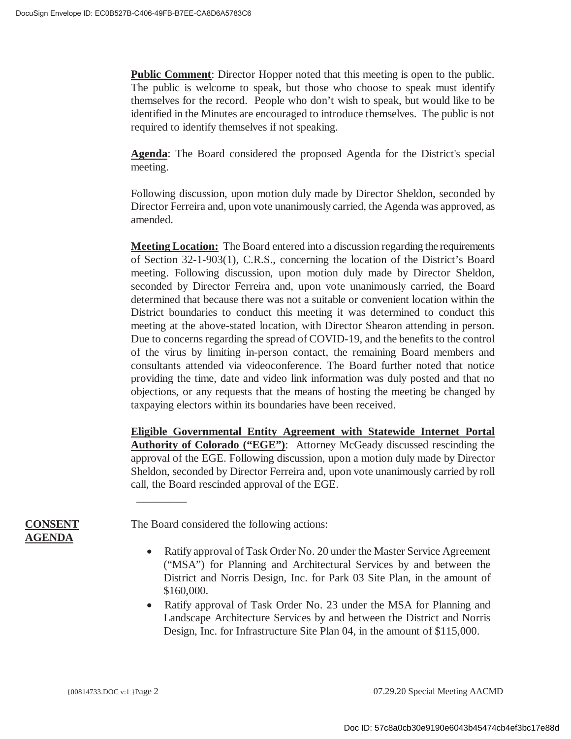**Public Comment**: Director Hopper noted that this meeting is open to the public. The public is welcome to speak, but those who choose to speak must identify themselves for the record. People who don't wish to speak, but would like to be identified in the Minutes are encouraged to introduce themselves. The public is not required to identify themselves if not speaking.

**Agenda**: The Board considered the proposed Agenda for the District's special meeting.

Following discussion, upon motion duly made by Director Sheldon, seconded by Director Ferreira and, upon vote unanimously carried, the Agenda was approved, as amended.

**Meeting Location:** The Board entered into a discussion regarding the requirements of Section 32-1-903(1), C.R.S., concerning the location of the District's Board meeting. Following discussion, upon motion duly made by Director Sheldon, seconded by Director Ferreira and, upon vote unanimously carried, the Board determined that because there was not a suitable or convenient location within the District boundaries to conduct this meeting it was determined to conduct this meeting at the above-stated location, with Director Shearon attending in person. Due to concerns regarding the spread of COVID-19, and the benefits to the control of the virus by limiting in-person contact, the remaining Board members and consultants attended via videoconference. The Board further noted that notice providing the time, date and video link information was duly posted and that no objections, or any requests that the means of hosting the meeting be changed by taxpaying electors within its boundaries have been received.

**Eligible Governmental Entity Agreement with Statewide Internet Portal**  Authority of Colorado ("EGE"): Attorney McGeady discussed rescinding the approval of the EGE. Following discussion, upon a motion duly made by Director Sheldon, seconded by Director Ferreira and, upon vote unanimously carried by roll call, the Board rescinded approval of the EGE.

**CONSENT AGENDA**

The Board considered the following actions:

 $\overline{\phantom{a}}$  . The contract of the contract of  $\overline{\phantom{a}}$ 

- Ratify approval of Task Order No. 20 under the Master Service Agreement ("MSA") for Planning and Architectural Services by and between the District and Norris Design, Inc. for Park 03 Site Plan, in the amount of \$160,000.
- Ratify approval of Task Order No. 23 under the MSA for Planning and Landscape Architecture Services by and between the District and Norris Design, Inc. for Infrastructure Site Plan 04, in the amount of \$115,000.

{00814733.DOC v:1 }Page 2 07.29.20 Special Meeting AACMD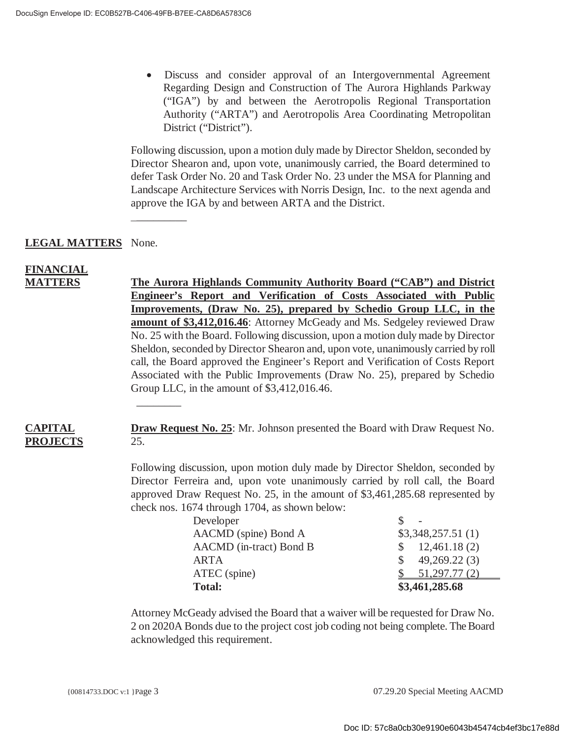$\overline{\phantom{a}}$  . The contract of the contract of  $\overline{\phantom{a}}$ 

 $\overline{\phantom{a}}$ 

� Discuss and consider approval of an Intergovernmental Agreement Regarding Design and Construction of The Aurora Highlands Parkway ("IGA") by and between the Aerotropolis Regional Transportation Authority ("ARTA") and Aerotropolis Area Coordinating Metropolitan District ("District").

Following discussion, upon a motion duly made by Director Sheldon, seconded by Director Shearon and, upon vote, unanimously carried, the Board determined to defer Task Order No. 20 and Task Order No. 23 under the MSA for Planning and Landscape Architecture Services with Norris Design, Inc. to the next agenda and approve the IGA by and between ARTA and the District.

## **LEGAL MATTERS** None.

# **FINANCIAL**

**MATTERS The Aurora Highlands Community Authority Board ("CAB") and District Engineer's Report and Verification of Costs Associated with Public Improvements, (Draw No. 25), prepared by Schedio Group LLC, in the amount of \$3,412,016.46**: Attorney McGeady and Ms. Sedgeley reviewed Draw No. 25 with the Board. Following discussion, upon a motion duly made by Director Sheldon, seconded by Director Shearon and, upon vote, unanimously carried by roll call, the Board approved the Engineer's Report and Verification of Costs Report Associated with the Public Improvements (Draw No. 25), prepared by Schedio Group LLC, in the amount of \$3,412,016.46.

#### **CAPITAL PROJECTS Draw Request No. 25**: Mr. Johnson presented the Board with Draw Request No. 25.

Following discussion, upon motion duly made by Director Sheldon, seconded by Director Ferreira and, upon vote unanimously carried by roll call, the Board approved Draw Request No. 25, in the amount of \$3,461,285.68 represented by check nos. 1674 through 1704, as shown below:

| Developer               |                          |
|-------------------------|--------------------------|
| AACMD (spine) Bond A    | \$3,348,257.51(1)        |
| AACMD (in-tract) Bond B | $\frac{12,461.18(2)}{2}$ |
| ARTA                    | 49,269.22(3)<br>S.       |
| ATEC (spine)            | 51,297.77 (2)            |
| <b>Total:</b>           | \$3,461,285.68           |

Attorney McGeady advised the Board that a waiver will be requested for Draw No. 2 on 2020A Bonds due to the project cost job coding not being complete. The Board acknowledged this requirement.

{00814733.DOC v:1 }Page 3 07.29.20 Special Meeting AACMD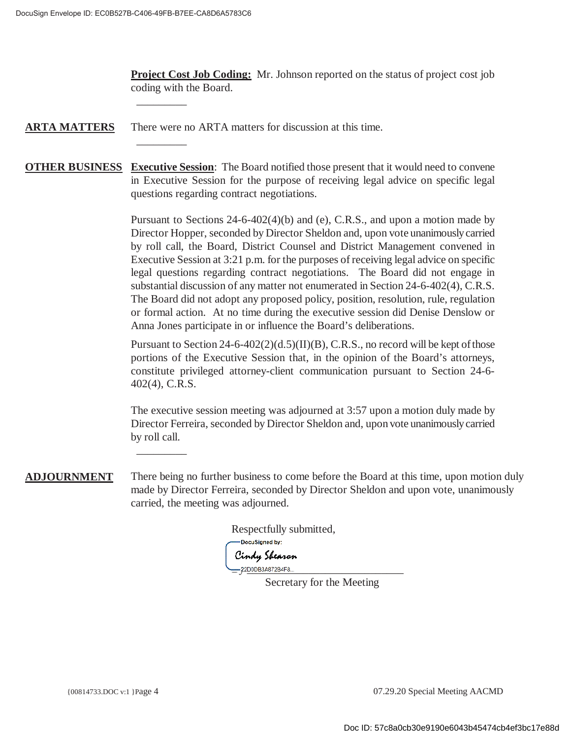\_\_\_\_\_\_\_\_\_\_

 $\overline{\phantom{a}}$ 

 $\overline{\phantom{a}}$ 

**Project Cost Job Coding:** Mr. Johnson reported on the status of project cost job coding with the Board.

**ARTA MATTERS** There were no ARTA matters for discussion at this time.

**OTHER BUSINESS Executive Session**: The Board notified those present that it would need to convene in Executive Session for the purpose of receiving legal advice on specific legal questions regarding contract negotiations.

> Pursuant to Sections 24-6-402(4)(b) and (e), C.R.S., and upon a motion made by Director Hopper, seconded by Director Sheldon and, upon vote unanimously carried by roll call, the Board, District Counsel and District Management convened in Executive Session at 3:21 p.m. for the purposes of receiving legal advice on specific legal questions regarding contract negotiations. The Board did not engage in substantial discussion of any matter not enumerated in Section 24-6-402(4), C.R.S. The Board did not adopt any proposed policy, position, resolution, rule, regulation or formal action. At no time during the executive session did Denise Denslow or Anna Jones participate in or influence the Board's deliberations.

> Pursuant to Section 24-6-402(2)(d.5)(II)(B), C.R.S., no record will be kept of those portions of the Executive Session that, in the opinion of the Board's attorneys, constitute privileged attorney-client communication pursuant to Section 24-6- 402(4), C.R.S.

> The executive session meeting was adjourned at 3:57 upon a motion duly made by Director Ferreira, seconded by Director Sheldon and, upon vote unanimously carried by roll call.

**ADJOURNMENT** There being no further business to come before the Board at this time, upon motion duly made by Director Ferreira, seconded by Director Sheldon and upon vote, unanimously carried, the meeting was adjourned.

Respectfully submitted, -DocuSigned by: Cindy Shearon 22D0DB3A872B4F8..

Secretary for the Meeting

{00814733.DOC v:1 }Page 4 07.29.20 Special Meeting AACMD